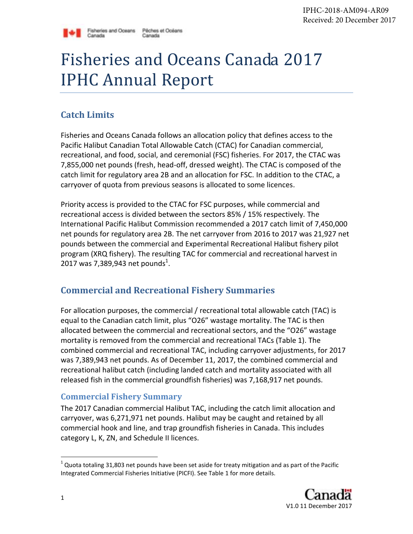

# Fisheries and Oceans Canada 2017 IPHC Annual Report

# **Catch Limits**

**Canada** 

Fisheries and Oceans Canada follows an allocation policy that defines access to the Pacific Halibut Canadian Total Allowable Catch (CTAC) for Canadian commercial, recreational, and food, social, and ceremonial (FSC) fisheries. For 2017, the CTAC was 7,855,000 net pounds (fresh, head-off, dressed weight). The CTAC is composed of the catch limit for regulatory area 2B and an allocation for FSC. In addition to the CTAC, a carryover of quota from previous seasons is allocated to some licences.

Priority access is provided to the CTAC for FSC purposes, while commercial and recreational access is divided between the sectors 85% / 15% respectively. The International Pacific Halibut Commission recommended a 2017 catch limit of 7,450,000 net pounds for regulatory area 2B. The net carryover from 2016 to 2017 was 21,927 net pounds between the commercial and Experimental Recreational Halibut fishery pilot program (XRQ fishery). The resulting TAC for commercial and recreational harvest in 2017 was 7,389,943 net pounds<sup>1</sup>.

# **Commercial and Recreational Fishery Summaries**

For allocation purposes, the commercial / recreational total allowable catch (TAC) is equal to the Canadian catch limit, plus "O26" wastage mortality. The TAC is then allocated between the commercial and recreational sectors, and the "O26" wastage mortality is removed from the commercial and recreational TACs (Table 1). The combined commercial and recreational TAC, including carryover adjustments, for 2017 was 7,389,943 net pounds. As of December 11, 2017, the combined commercial and recreational halibut catch (including landed catch and mortality associated with all released fish in the commercial groundfish fisheries) was 7,168,917 net pounds.

### **Commercial Fishery Summary**

The 2017 Canadian commercial Halibut TAC, including the catch limit allocation and carryover, was 6,271,971 net pounds. Halibut may be caught and retained by all commercial hook and line, and trap groundfish fisheries in Canada. This includes category L, K, ZN, and Schedule II licences.

 $^1$  Quota totaling 31,803 net pounds have been set aside for treaty mitigation and as part of the Pacific Integrated Commercial Fisheries Initiative (PICFI). See Table 1 for more details.

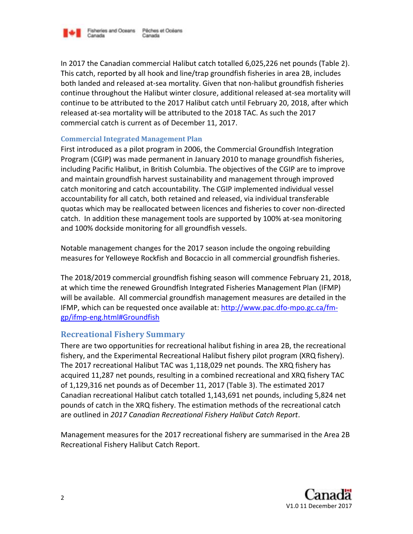

In 2017 the Canadian commercial Halibut catch totalled 6,025,226 net pounds (Table 2). This catch, reported by all hook and line/trap groundfish fisheries in area 2B, includes both landed and released at-sea mortality. Given that non-halibut groundfish fisheries continue throughout the Halibut winter closure, additional released at-sea mortality will continue to be attributed to the 2017 Halibut catch until February 20, 2018, after which released at-sea mortality will be attributed to the 2018 TAC. As such the 2017 commercial catch is current as of December 11, 2017.

#### **Commercial Integrated Management Plan**

First introduced as a pilot program in 2006, the Commercial Groundfish Integration Program (CGIP) was made permanent in January 2010 to manage groundfish fisheries, including Pacific Halibut, in British Columbia. The objectives of the CGIP are to improve and maintain groundfish harvest sustainability and management through improved catch monitoring and catch accountability. The CGIP implemented individual vessel accountability for all catch, both retained and released, via individual transferable quotas which may be reallocated between licences and fisheries to cover non-directed catch. In addition these management tools are supported by 100% at-sea monitoring and 100% dockside monitoring for all groundfish vessels.

Notable management changes for the 2017 season include the ongoing rebuilding measures for Yelloweye Rockfish and Bocaccio in all commercial groundfish fisheries.

The 2018/2019 commercial groundfish fishing season will commence February 21, 2018, at which time the renewed Groundfish Integrated Fisheries Management Plan (IFMP) will be available. All commercial groundfish management measures are detailed in the IFMP, which can be requested once available at[: http://www.pac.dfo-mpo.gc.ca/fm](http://www.pac.dfo-mpo.gc.ca/fm-gp/ifmp-eng.html#Groundfish)[gp/ifmp-eng.html#Groundfish](http://www.pac.dfo-mpo.gc.ca/fm-gp/ifmp-eng.html#Groundfish)

#### **Recreational Fishery Summary**

There are two opportunities for recreational halibut fishing in area 2B, the recreational fishery, and the Experimental Recreational Halibut fishery pilot program (XRQ fishery). The 2017 recreational Halibut TAC was 1,118,029 net pounds. The XRQ fishery has acquired 11,287 net pounds, resulting in a combined recreational and XRQ fishery TAC of 1,129,316 net pounds as of December 11, 2017 (Table 3). The estimated 2017 Canadian recreational Halibut catch totalled 1,143,691 net pounds, including 5,824 net pounds of catch in the XRQ fishery. The estimation methods of the recreational catch are outlined in *2017 Canadian Recreational Fishery Halibut Catch Report*.

Management measures for the 2017 recreational fishery are summarised in the Area 2B Recreational Fishery Halibut Catch Report.

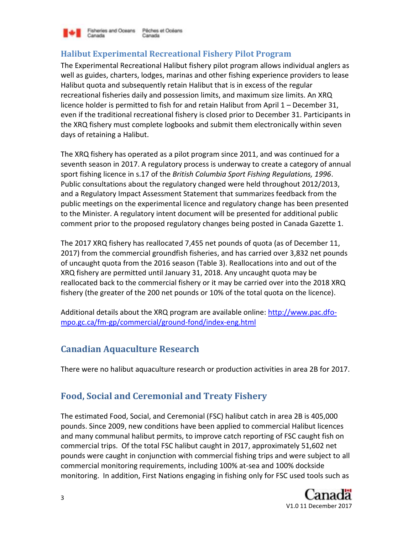

Fisheries and Oceans Péches et Océans Canada Canada

### **Halibut Experimental Recreational Fishery Pilot Program**

The Experimental Recreational Halibut fishery pilot program allows individual anglers as well as guides, charters, lodges, marinas and other fishing experience providers to lease Halibut quota and subsequently retain Halibut that is in excess of the regular recreational fisheries daily and possession limits, and maximum size limits. An XRQ licence holder is permitted to fish for and retain Halibut from April 1 – December 31, even if the traditional recreational fishery is closed prior to December 31. Participants in the XRQ fishery must complete logbooks and submit them electronically within seven days of retaining a Halibut.

The XRQ fishery has operated as a pilot program since 2011, and was continued for a seventh season in 2017. A regulatory process is underway to create a category of annual sport fishing licence in s.17 of the *British Columbia Sport Fishing Regulations, 1996*. Public consultations about the regulatory changed were held throughout 2012/2013, and a Regulatory Impact Assessment Statement that summarizes feedback from the public meetings on the experimental licence and regulatory change has been presented to the Minister. A regulatory intent document will be presented for additional public comment prior to the proposed regulatory changes being posted in Canada Gazette 1.

The 2017 XRQ fishery has reallocated 7,455 net pounds of quota (as of December 11, 2017) from the commercial groundfish fisheries, and has carried over 3,832 net pounds of uncaught quota from the 2016 season (Table 3). Reallocations into and out of the XRQ fishery are permitted until January 31, 2018. Any uncaught quota may be reallocated back to the commercial fishery or it may be carried over into the 2018 XRQ fishery (the greater of the 200 net pounds or 10% of the total quota on the licence).

Additional details about the XRQ program are available online: [http://www.pac.dfo](http://www.pac.dfo-mpo.gc.ca/fm-gp/commercial/ground-fond/index-eng.html)[mpo.gc.ca/fm-gp/commercial/ground-fond/index-eng.html](http://www.pac.dfo-mpo.gc.ca/fm-gp/commercial/ground-fond/index-eng.html)

# **Canadian Aquaculture Research**

There were no halibut aquaculture research or production activities in area 2B for 2017.

# **Food, Social and Ceremonial and Treaty Fishery**

The estimated Food, Social, and Ceremonial (FSC) halibut catch in area 2B is 405,000 pounds. Since 2009, new conditions have been applied to commercial Halibut licences and many communal halibut permits, to improve catch reporting of FSC caught fish on commercial trips. Of the total FSC halibut caught in 2017, approximately 51,602 net pounds were caught in conjunction with commercial fishing trips and were subject to all commercial monitoring requirements, including 100% at-sea and 100% dockside monitoring. In addition, First Nations engaging in fishing only for FSC used tools such as

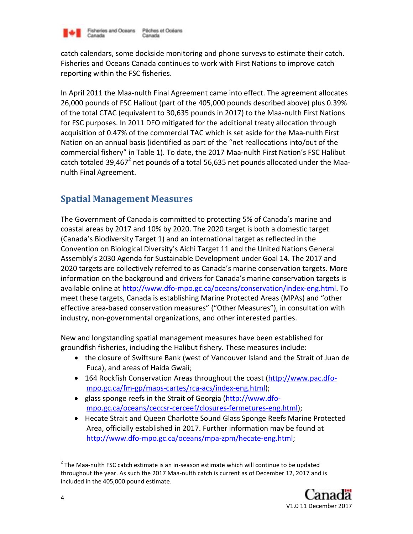

catch calendars, some dockside monitoring and phone surveys to estimate their catch. Fisheries and Oceans Canada continues to work with First Nations to improve catch reporting within the FSC fisheries.

In April 2011 the Maa-nulth Final Agreement came into effect. The agreement allocates 26,000 pounds of FSC Halibut (part of the 405,000 pounds described above) plus 0.39% of the total CTAC (equivalent to 30,635 pounds in 2017) to the Maa-nulth First Nations for FSC purposes. In 2011 DFO mitigated for the additional treaty allocation through acquisition of 0.47% of the commercial TAC which is set aside for the Maa-nulth First Nation on an annual basis (identified as part of the "net reallocations into/out of the commercial fishery" in Table 1). To date, the 2017 Maa-nulth First Nation's FSC Halibut catch totaled 39,467<sup>2</sup> net pounds of a total 56,635 net pounds allocated under the Maanulth Final Agreement.

## **Spatial Management Measures**

The Government of Canada is committed to protecting 5% of Canada's marine and coastal areas by 2017 and 10% by 2020. The 2020 target is both a domestic target (Canada's Biodiversity Target 1) and an international target as reflected in the Convention on Biological Diversity's Aichi Target 11 and the United Nations General Assembly's 2030 Agenda for Sustainable Development under Goal 14. The 2017 and 2020 targets are collectively referred to as Canada's marine conservation targets. More information on the background and drivers for Canada's marine conservation targets is available online at [http://www.dfo-mpo.gc.ca/oceans/conservation/index-eng.html.](http://www.dfo-mpo.gc.ca/oceans/conservation/index-eng.html) To meet these targets, Canada is establishing Marine Protected Areas (MPAs) and "other effective area-based conservation measures" ("Other Measures"), in consultation with industry, non-governmental organizations, and other interested parties.

New and longstanding spatial management measures have been established for groundfish fisheries, including the Halibut fishery. These measures include:

- the closure of Swiftsure Bank (west of Vancouver Island and the Strait of Juan de Fuca), and areas of Haida Gwaii;
- 164 Rockfish Conservation Areas throughout the coast [\(http://www.pac.dfo](http://www.pac.dfo-mpo.gc.ca/fm-gp/maps-cartes/rca-acs/index-eng.html)[mpo.gc.ca/fm-gp/maps-cartes/rca-acs/index-eng.html\)](http://www.pac.dfo-mpo.gc.ca/fm-gp/maps-cartes/rca-acs/index-eng.html);
- glass sponge reefs in the Strait of Georgia [\(http://www.dfo](http://www.dfo-mpo.gc.ca/oceans/ceccsr-cerceef/closures-fermetures-eng.html)[mpo.gc.ca/oceans/ceccsr-cerceef/closures-fermetures-eng.html\)](http://www.dfo-mpo.gc.ca/oceans/ceccsr-cerceef/closures-fermetures-eng.html);
- Hecate Strait and Queen Charlotte Sound Glass Sponge Reefs Marine Protected Area, officially established in 2017. Further information may be found at [http://www.dfo-mpo.gc.ca/oceans/mpa-zpm/hecate-eng.html;](http://www.dfo-mpo.gc.ca/oceans/mpa-zpm/hecate-eng.html)

 $2$  The Maa-nulth FSC catch estimate is an in-season estimate which will continue to be updated throughout the year. As such the 2017 Maa-nulth catch is current as of December 12, 2017 and is included in the 405,000 pound estimate.



 $\overline{a}$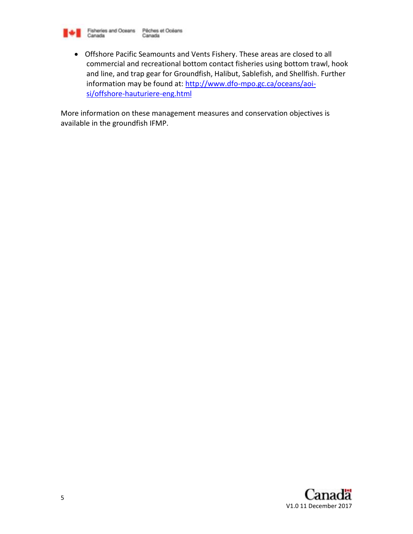

 Offshore Pacific Seamounts and Vents Fishery. These areas are closed to all commercial and recreational bottom contact fisheries using bottom trawl, hook and line, and trap gear for Groundfish, Halibut, Sablefish, and Shellfish. Further information may be found at: [http://www.dfo-mpo.gc.ca/oceans/aoi](http://www.dfo-mpo.gc.ca/oceans/aoi-si/offshore-hauturiere-eng.html)[si/offshore-hauturiere-eng.html](http://www.dfo-mpo.gc.ca/oceans/aoi-si/offshore-hauturiere-eng.html)

More information on these management measures and conservation objectives is available in the groundfish IFMP.

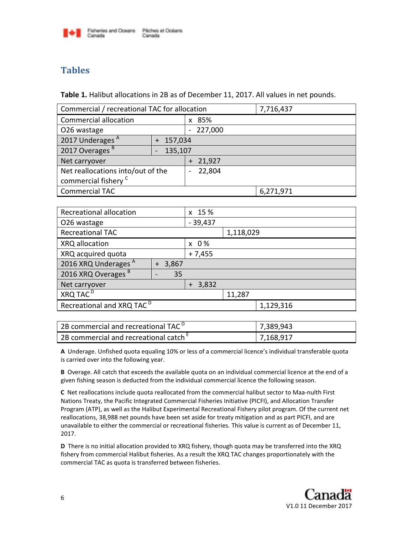

# **Tables**

**Table 1.** Halibut allocations in 2B as of December 11, 2017. All values in net pounds.

| Commercial / recreational TAC for allocation |         |                                    | 7,716,437 |  |
|----------------------------------------------|---------|------------------------------------|-----------|--|
| <b>Commercial allocation</b>                 |         | x 85%                              |           |  |
| O26 wastage                                  |         | $-227,000$                         |           |  |
| 2017 Underages <sup>A</sup>                  | 157,034 |                                    |           |  |
| 2017 Overages <sup>B</sup>                   | 135,107 |                                    |           |  |
| Net carryover                                |         | $+ 21,927$                         |           |  |
| Net reallocations into/out of the            |         | 22,804<br>$\overline{\phantom{0}}$ |           |  |
| commercial fishery <sup>C</sup>              |         |                                    |           |  |
| <b>Commercial TAC</b>                        |         |                                    | 6,271,971 |  |

| Recreational allocation               |              | x 15 %       |           |        |           |
|---------------------------------------|--------------|--------------|-----------|--------|-----------|
| O26 wastage                           |              | $-39,437$    |           |        |           |
| <b>Recreational TAC</b>               |              | 1,118,029    |           |        |           |
| XRQ allocation                        |              | $x \theta\%$ |           |        |           |
| XRQ acquired quota                    |              | $+7,455$     |           |        |           |
| 2016 XRQ Underages A                  | 3,867<br>$+$ |              |           |        |           |
| 2016 XRQ Overages B                   |              | 35           |           |        |           |
| Net carryover                         |              |              | $+ 3,832$ |        |           |
| XRQ TAC <sup>D</sup>                  |              |              |           | 11,287 |           |
| Recreational and XRQ TAC <sup>D</sup> |              |              |           |        | 1,129,316 |

| $\mid$ 2B commercial and recreational TAC $^{\textsf{D}}$ | 7,389,943 |
|-----------------------------------------------------------|-----------|
| 2B commercial and recreational catch $E$                  | 7,168,917 |

**A** Underage. Unfished quota equaling 10% or less of a commercial licence's individual transferable quota is carried over into the following year.

**B** Overage. All catch that exceeds the available quota on an individual commercial licence at the end of a given fishing season is deducted from the individual commercial licence the following season.

**C** Net reallocations include quota reallocated from the commercial halibut sector to Maa-nulth First Nations Treaty, the Pacific Integrated Commercial Fisheries Initiative (PICFI), and Allocation Transfer Program (ATP), as well as the Halibut Experimental Recreational Fishery pilot program. Of the current net reallocations, 38,988 net pounds have been set aside for treaty mitigation and as part PICFI, and are unavailable to either the commercial or recreational fisheries. This value is current as of December 11, 2017.

**D** There is no initial allocation provided to XRQ fishery, though quota may be transferred into the XRQ fishery from commercial Halibut fisheries. As a result the XRQ TAC changes proportionately with the commercial TAC as quota is transferred between fisheries.